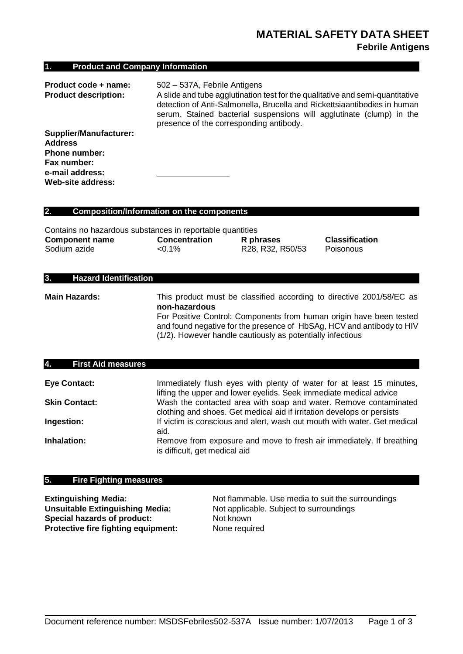# **1. Product and Company Information**

| Product code + name:          | 502 - 537A, Febrile Antigens                                                                                                                                                                                                                                                 |
|-------------------------------|------------------------------------------------------------------------------------------------------------------------------------------------------------------------------------------------------------------------------------------------------------------------------|
| <b>Product description:</b>   | A slide and tube agglutination test for the qualitative and semi-quantitative<br>detection of Anti-Salmonella, Brucella and Rickettsiaantibodies in human<br>serum. Stained bacterial suspensions will agglutinate (clump) in the<br>presence of the corresponding antibody. |
| <b>Supplier/Manufacturer:</b> |                                                                                                                                                                                                                                                                              |
| <b>Address</b>                |                                                                                                                                                                                                                                                                              |
| <b>Phone number:</b>          |                                                                                                                                                                                                                                                                              |
| Fax number:                   |                                                                                                                                                                                                                                                                              |
| e-mail address:               |                                                                                                                                                                                                                                                                              |
| Web-site address:             |                                                                                                                                                                                                                                                                              |

### **2. Composition/Information on the components**

| Contains no hazardous substances in reportable quantities |                      |                  |                       |
|-----------------------------------------------------------|----------------------|------------------|-----------------------|
| <b>Component name</b>                                     | <b>Concentration</b> | R phrases        | <b>Classification</b> |
| Sodium azide                                              | $< 0.1\%$            | R28, R32, R50/53 | Poisonous             |

### **3. Hazard Identification**

**Main Hazards:** This product must be classified according to directive 2001/58/EC as

**non-hazardous** For Positive Control: Components from human origin have been tested

and found negative for the presence of HbSAg, HCV and antibody to HIV (1/2). However handle cautiously as potentially infectious

# **4. First Aid measures**

| <b>Eye Contact:</b>  | Immediately flush eyes with plenty of water for at least 15 minutes,<br>lifting the upper and lower eyelids. Seek immediate medical advice |
|----------------------|--------------------------------------------------------------------------------------------------------------------------------------------|
| <b>Skin Contact:</b> | Wash the contacted area with soap and water. Remove contaminated<br>clothing and shoes. Get medical aid if irritation develops or persists |
| Ingestion:           | If victim is conscious and alert, wash out mouth with water. Get medical<br>aid.                                                           |
| Inhalation:          | Remove from exposure and move to fresh air immediately. If breathing<br>is difficult, get medical aid                                      |

# **5. Fire Fighting measures**

**Special hazards of product:** Not known **Protective fire fighting equipment:** None required

**Extinguishing Media:** Not flammable. Use media to suit the surroundings **Unsuitable Extinguishing Media:** Not applicable. Subject to surroundings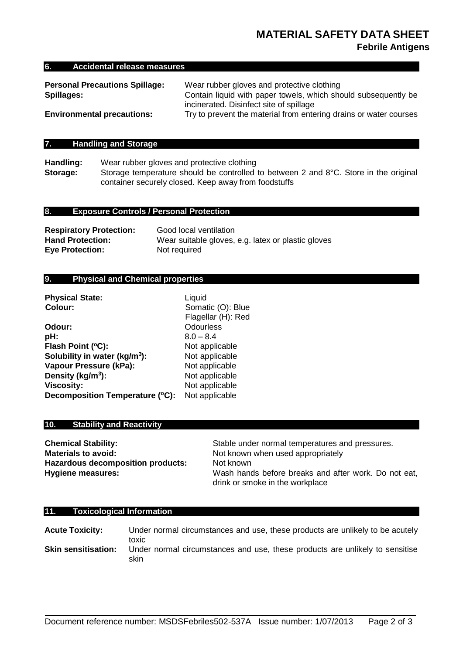# **MATERIAL SAFETY DATA SHEET Febrile Antigens**

#### **6. Accidental release measures**

| <b>Personal Precautions Spillage:</b> | Wear rubber gloves and protective clothing                        |
|---------------------------------------|-------------------------------------------------------------------|
| Spillages:                            | Contain liquid with paper towels, which should subsequently be    |
|                                       | incinerated. Disinfect site of spillage                           |
| <b>Environmental precautions:</b>     | Try to prevent the material from entering drains or water courses |

# **7. Handling and Storage**

**Handling:** Wear rubber gloves and protective clothing **Storage:** Storage temperature should be controlled to between 2 and 8°C. Store in the original container securely closed. Keep away from foodstuffs

### **8. Exposure Controls / Personal Protection**

| <b>Respiratory Protection:</b> | Good local ventilation                             |
|--------------------------------|----------------------------------------------------|
| <b>Hand Protection:</b>        | Wear suitable gloves, e.g. latex or plastic gloves |
| <b>Eye Protection:</b>         | Not required                                       |

# **9. Physical and Chemical properties**

| <b>Physical State:</b>                    | Liquid             |
|-------------------------------------------|--------------------|
| Colour:                                   | Somatic (O): Blue  |
|                                           | Flagellar (H): Red |
| Odour:                                    | Odourless          |
| pH:                                       | $8.0 - 8.4$        |
| Flash Point (°C):                         | Not applicable     |
| Solubility in water (kg/m <sup>3</sup> ): | Not applicable     |
| Vapour Pressure (kPa):                    | Not applicable     |
| Density (kg/m <sup>3</sup> ):             | Not applicable     |
| <b>Viscosity:</b>                         | Not applicable     |
| Decomposition Temperature (°C):           | Not applicable     |

### **10. Stability and Reactivity**

**Chemical Stability:** Stable under normal temperatures and pressures. **Materials to avoid:** Not known when used appropriately **Hazardous decomposition products:** Not known **Hygiene measures:** Wash hands before breaks and after work. Do not eat, drink or smoke in the workplace

#### **11. Toxicological Information**

**Acute Toxicity:** Under normal circumstances and use, these products are unlikely to be acutely toxic **Skin sensitisation:** Under normal circumstances and use, these products are unlikely to sensitise skin